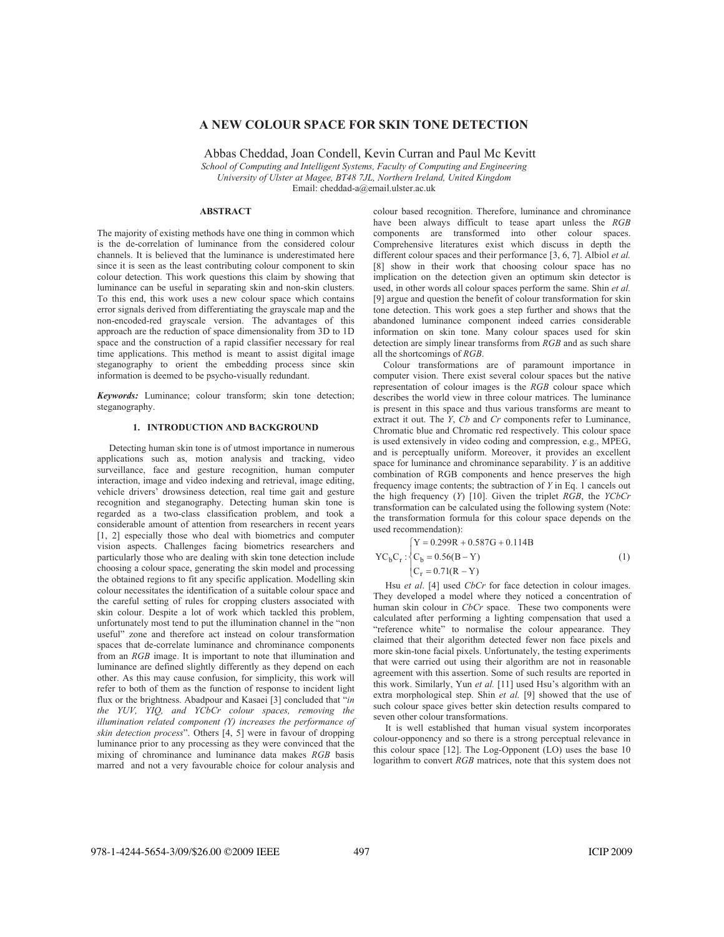# **A NEW COLOUR SPACE FOR SKIN TONE DETECTION**

Abbas Cheddad, Joan Condell, Kevin Curran and Paul Mc Kevitt *School of Computing and Intelligent Systems, Faculty of Computing and Engineering* 

*University of Ulster at Magee, BT48 7JL, Northern Ireland, United Kingdom* 

Email: cheddad-a@email.ulster.ac.uk

#### **ABSTRACT**

The majority of existing methods have one thing in common which is the de-correlation of luminance from the considered colour channels. It is believed that the luminance is underestimated here since it is seen as the least contributing colour component to skin colour detection. This work questions this claim by showing that luminance can be useful in separating skin and non-skin clusters. To this end, this work uses a new colour space which contains error signals derived from differentiating the grayscale map and the non-encoded-red grayscale version. The advantages of this approach are the reduction of space dimensionality from 3D to 1D space and the construction of a rapid classifier necessary for real time applications. This method is meant to assist digital image steganography to orient the embedding process since skin information is deemed to be psycho-visually redundant.

*Keywords:* Luminance; colour transform; skin tone detection; steganography.

## **1. INTRODUCTION AND BACKGROUND**

Detecting human skin tone is of utmost importance in numerous applications such as, motion analysis and tracking, video surveillance, face and gesture recognition, human computer interaction, image and video indexing and retrieval, image editing, vehicle drivers' drowsiness detection, real time gait and gesture recognition and steganography. Detecting human skin tone is regarded as a two-class classification problem, and took a considerable amount of attention from researchers in recent years [1, 2] especially those who deal with biometrics and computer vision aspects. Challenges facing biometrics researchers and particularly those who are dealing with skin tone detection include choosing a colour space, generating the skin model and processing the obtained regions to fit any specific application. Modelling skin colour necessitates the identification of a suitable colour space and the careful setting of rules for cropping clusters associated with skin colour. Despite a lot of work which tackled this problem, unfortunately most tend to put the illumination channel in the "non useful" zone and therefore act instead on colour transformation spaces that de-correlate luminance and chrominance components from an *RGB* image. It is important to note that illumination and luminance are defined slightly differently as they depend on each other. As this may cause confusion, for simplicity, this work will refer to both of them as the function of response to incident light flux or the brightness. Abadpour and Kasaei [3] concluded that "*in the YUV, YIQ, and YCbCr colour spaces, removing the illumination related component (Y) increases the performance of skin detection process*". Others [4, 5] were in favour of dropping luminance prior to any processing as they were convinced that the mixing of chrominance and luminance data makes *RGB* basis marred and not a very favourable choice for colour analysis and

colour based recognition. Therefore, luminance and chrominance have been always difficult to tease apart unless the *RGB* components are transformed into other colour spaces. Comprehensive literatures exist which discuss in depth the different colour spaces and their performance [3, 6, 7]. Albiol *et al.* [8] show in their work that choosing colour space has no implication on the detection given an optimum skin detector is used, in other words all colour spaces perform the same. Shin *et al.* [9] argue and question the benefit of colour transformation for skin tone detection. This work goes a step further and shows that the abandoned luminance component indeed carries considerable information on skin tone. Many colour spaces used for skin detection are simply linear transforms from *RGB* and as such share all the shortcomings of *RGB*.

Colour transformations are of paramount importance in computer vision. There exist several colour spaces but the native representation of colour images is the *RGB* colour space which describes the world view in three colour matrices. The luminance is present in this space and thus various transforms are meant to extract it out. The *Y*, *Cb* and *Cr* components refer to Luminance, Chromatic blue and Chromatic red respectively. This colour space is used extensively in video coding and compression, e.g., MPEG, and is perceptually uniform. Moreover, it provides an excellent space for luminance and chrominance separability. *Y* is an additive combination of RGB components and hence preserves the high frequency image contents; the subtraction of *Y* in Eq. 1 cancels out the high frequency (*Y*) [10]. Given the triplet *RGB*, the *YCbCr* transformation can be calculated using the following system (Note: the transformation formula for this colour space depends on the used recommendation):

$$
YC_{b}C_{r}: \begin{cases} Y = 0.299R + 0.587G + 0.114B \\ C_{b} = 0.56(B - Y) \\ C_{r} = 0.71(R - Y) \end{cases}
$$
(1)

Hsu *et al*. [4] used *CbCr* for face detection in colour images. They developed a model where they noticed a concentration of human skin colour in *CbCr* space. These two components were calculated after performing a lighting compensation that used a "reference white" to normalise the colour appearance. They claimed that their algorithm detected fewer non face pixels and more skin-tone facial pixels. Unfortunately, the testing experiments that were carried out using their algorithm are not in reasonable agreement with this assertion. Some of such results are reported in this work. Similarly, Yun *et al.* [11] used Hsu's algorithm with an extra morphological step. Shin *et al.* [9] showed that the use of such colour space gives better skin detection results compared to seven other colour transformations.

It is well established that human visual system incorporates colour-opponency and so there is a strong perceptual relevance in this colour space [12]. The Log-Opponent (LO) uses the base 10 logarithm to convert *RGB* matrices, note that this system does not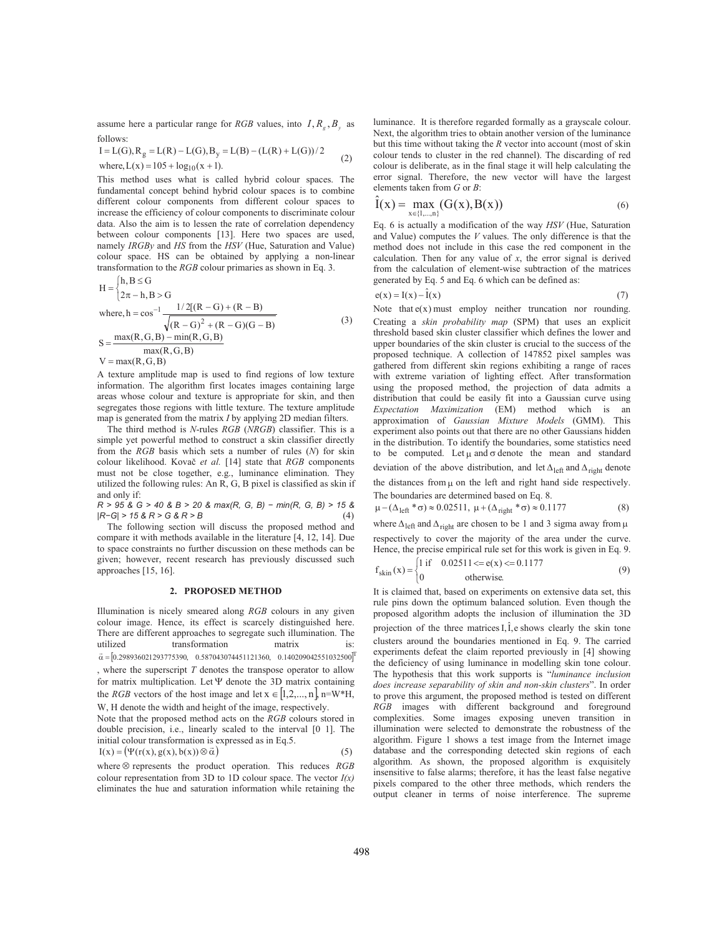assume here a particular range for *RGB* values, into  $I, R_g, B_y$  as follows:

$$
I = L(G), R_g = L(R) - L(G), B_y = L(B) - (L(R) + L(G))/2
$$

where, 
$$
L(x) = 105 + log_{10}(x + 1)
$$
. (2)

This method uses what is called hybrid colour spaces. The fundamental concept behind hybrid colour spaces is to combine different colour components from different colour spaces to increase the efficiency of colour components to discriminate colour data. Also the aim is to lessen the rate of correlation dependency between colour components [13]. Here two spaces are used, namely *IRGBy* and *HS* from the *HSV* (Hue, Saturation and Value) colour space. HS can be obtained by applying a non-linear transformation to the *RGB* colour primaries as shown in Eq. 3.

$$
H =\begin{cases} h, B \le G \\ 2\pi - h, B > G \end{cases}
$$
  
where,  $h = \cos^{-1} \frac{1/2[(R - G) + (R - B)}{\sqrt{(R - G)^2 + (R - G)(G - B)}}$   

$$
S = \frac{\max(R, G, B) - \min(R, G, B)}{\max(R, G, B)}
$$
(3)  
 $V = \max(R, G, B)$ 

A texture amplitude map is used to find regions of low texture information. The algorithm first locates images containing large areas whose colour and texture is appropriate for skin, and then segregates those regions with little texture. The texture amplitude map is generated from the matrix *I* by applying 2D median filters.

The third method is *N*-rules *RGB* (*NRGB*) classifier. This is a simple yet powerful method to construct a skin classifier directly from the *RGB* basis which sets a number of rules (*N*) for skin colour likelihood. Kovač et al. [14] state that *RGB* components must not be close together, e.g., luminance elimination. They utilized the following rules: An R, G, B pixel is classified as skin if and only if:

*R > 95 & G > 40 & B > 20 & max(R, G, B) í min(R, G, B) > 15 & |RíG| > 15 & R > G & R > B* (4)

The following section will discuss the proposed method and compare it with methods available in the literature [4, 12, 14]. Due to space constraints no further discussion on these methods can be given; however, recent research has previously discussed such approaches [15, 16].

# **2. PROPOSED METHOD**

Illumination is nicely smeared along *RGB* colours in any given colour image. Hence, its effect is scarcely distinguished here. There are different approaches to segregate such illumination. The utilized transformation matrix is:  $\vec{\alpha} = [0.298936021293775390, 0.587043074451121360, 0.140209042551032500]^{T}$ , where the superscript *T* denotes the transpose operator to allow for matrix multiplication. Let  $\Psi$  denote the 3D matrix containing the *RGB* vectors of the host image and let  $x \in [1, 2, ..., n]$ ,  $n=W^*H$ , W, H denote the width and height of the image, respectively.

Note that the proposed method acts on the *RGB* colours stored in double precision, i.e., linearly scaled to the interval [0 1]. The initial colour transformation is expressed as in Eq.5.

$$
I(x) = (\Psi(r(x), g(x), b(x)) \otimes \vec{\alpha})
$$
\n(5)

 $r(x) = (r(t(x), g(x), o(x)) \otimes \alpha)$ <br>where  $\otimes$  represents the product operation. This reduces *RGB* colour representation from 3D to 1D colour space. The vector *I(x)* eliminates the hue and saturation information while retaining the luminance. It is therefore regarded formally as a grayscale colour. Next, the algorithm tries to obtain another version of the luminance but this time without taking the *R* vector into account (most of skin colour tends to cluster in the red channel). The discarding of red colour is deliberate, as in the final stage it will help calculating the error signal. Therefore, the new vector will have the largest elements taken from *G* or *B*:

$$
\hat{I}(x) = \max_{x \in \{1, \dots, n\}} (G(x), B(x))
$$
\n(6)

Eq. 6 is actually a modification of the way *HSV* (Hue, Saturation and Value) computes the *V* values. The only difference is that the method does not include in this case the red component in the calculation. Then for any value of  $x$ , the error signal is derived from the calculation of element-wise subtraction of the matrices generated by Eq. 5 and Eq. 6 which can be defined as:

$$
e(x) = I(x) - \hat{I}(x) \tag{7}
$$

Note that  $e(x)$  must employ neither truncation nor rounding. Creating a *skin probability map* (SPM) that uses an explicit threshold based skin cluster classifier which defines the lower and upper boundaries of the skin cluster is crucial to the success of the proposed technique. A collection of 147852 pixel samples was gathered from different skin regions exhibiting a range of races with extreme variation of lighting effect. After transformation using the proposed method, the projection of data admits a distribution that could be easily fit into a Gaussian curve using *Expectation Maximization* (EM) method which is an approximation of *Gaussian Mixture Models* (GMM). This experiment also points out that there are no other Gaussians hidden in the distribution. To identify the boundaries, some statistics need to be computed. Let  $\mu$  and  $\sigma$  denote the mean and standard deviation of the above distribution, and let  $\Delta_{\text{left}}$  and  $\Delta_{\text{right}}$  denote

the distances from  $\mu$  on the left and right hand side respectively. The boundaries are determined based on Eq. 8.

$$
\mu - (\Delta_{\text{left}} * \sigma) \approx 0.02511, \ \mu + (\Delta_{\text{right}} * \sigma) \approx 0.1177 \tag{8}
$$

where  $\Delta_{\text{left}}$  and  $\Delta_{\text{right}}$  are chosen to be 1 and 3 sigma away from  $\mu$ respectively to cover the majority of the area under the curve.

Hence, the precise empirical rule set for this work is given in Eq. 9.  $\begin{cases} 1 \text{ if } 0.02511 \leq e(x) \leq 0.1177 \end{cases}$ 

$$
f_{\text{skin}}(x) = \begin{cases} 1 & 0.023113 - C(x) \leq 0.1177 \\ 0 & \text{otherwise.} \end{cases}
$$
 (9)

It is claimed that, based on experiments on extensive data set, this rule pins down the optimum balanced solution. Even though the proposed algorithm adopts the inclusion of illumination the 3D projection of the three matrices  $I, \hat{I}, e$  shows clearly the skin tone clusters around the boundaries mentioned in Eq. 9. The carried experiments defeat the claim reported previously in [4] showing the deficiency of using luminance in modelling skin tone colour. The hypothesis that this work supports is "*luminance inclusion does increase separability of skin and non-skin clusters*". In order to prove this argument, the proposed method is tested on different *RGB* images with different background and foreground complexities. Some images exposing uneven transition in illumination were selected to demonstrate the robustness of the algorithm. Figure 1 shows a test image from the Internet image database and the corresponding detected skin regions of each algorithm. As shown, the proposed algorithm is exquisitely insensitive to false alarms; therefore, it has the least false negative pixels compared to the other three methods, which renders the output cleaner in terms of noise interference. The supreme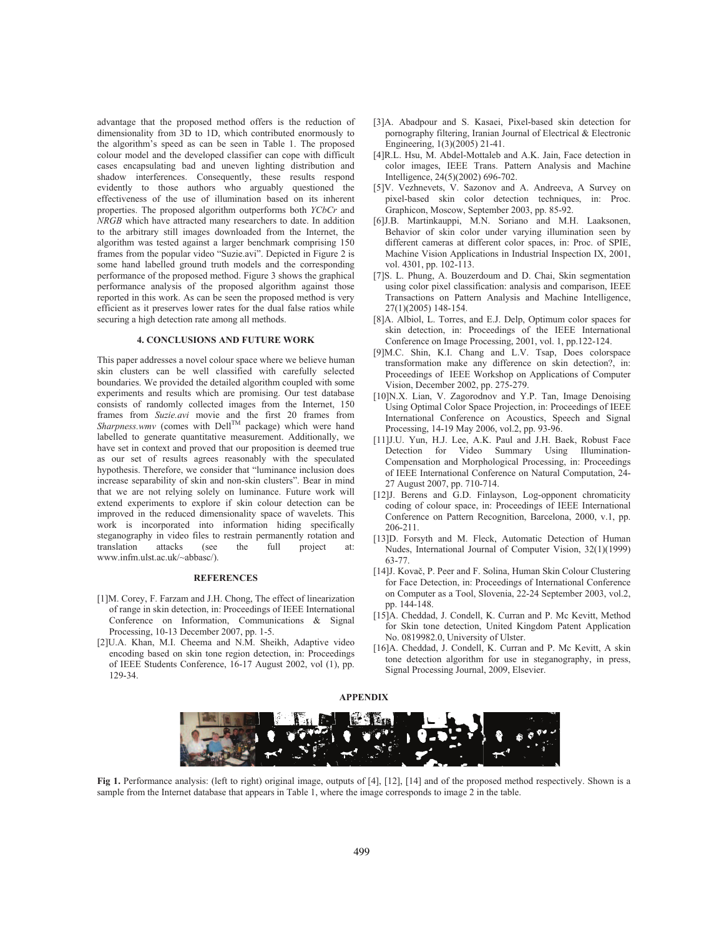advantage that the proposed method offers is the reduction of dimensionality from 3D to 1D, which contributed enormously to the algorithm's speed as can be seen in Table 1. The proposed colour model and the developed classifier can cope with difficult cases encapsulating bad and uneven lighting distribution and shadow interferences. Consequently, these results respond evidently to those authors who arguably questioned the effectiveness of the use of illumination based on its inherent properties. The proposed algorithm outperforms both *YCbCr* and *NRGB* which have attracted many researchers to date. In addition to the arbitrary still images downloaded from the Internet, the algorithm was tested against a larger benchmark comprising 150 frames from the popular video "Suzie.avi". Depicted in Figure 2 is some hand labelled ground truth models and the corresponding performance of the proposed method. Figure 3 shows the graphical performance analysis of the proposed algorithm against those reported in this work. As can be seen the proposed method is very efficient as it preserves lower rates for the dual false ratios while securing a high detection rate among all methods.

### **4. CONCLUSIONS AND FUTURE WORK**

This paper addresses a novel colour space where we believe human skin clusters can be well classified with carefully selected boundaries. We provided the detailed algorithm coupled with some experiments and results which are promising. Our test database consists of randomly collected images from the Internet, 150 frames from *Suzie.avi* movie and the first 20 frames from  $Sharphess.wmv$  (comes with Dell<sup>TM</sup> package) which were hand labelled to generate quantitative measurement. Additionally, we have set in context and proved that our proposition is deemed true as our set of results agrees reasonably with the speculated hypothesis. Therefore, we consider that "luminance inclusion does increase separability of skin and non-skin clusters". Bear in mind that we are not relying solely on luminance. Future work will extend experiments to explore if skin colour detection can be improved in the reduced dimensionality space of wavelets. This work is incorporated into information hiding specifically steganography in video files to restrain permanently rotation and translation attacks (see the full project at: www.infm.ulst.ac.uk/~abbasc/).

### **REFERENCES**

- [1]M. Corey, F. Farzam and J.H. Chong, The effect of linearization of range in skin detection, in: Proceedings of IEEE International Conference on Information, Communications & Signal Processing, 10-13 December 2007, pp. 1-5.
- [2]U.A. Khan, M.I. Cheema and N.M. Sheikh, Adaptive video encoding based on skin tone region detection, in: Proceedings of IEEE Students Conference, 16-17 August 2002, vol (1), pp. 129-34.
- [3]A. Abadpour and S. Kasaei, Pixel-based skin detection for pornography filtering, Iranian Journal of Electrical & Electronic Engineering, 1(3)(2005) 21-41.
- [4]R.L. Hsu, M. Abdel-Mottaleb and A.K. Jain, Face detection in color images, IEEE Trans. Pattern Analysis and Machine Intelligence, 24(5)(2002) 696-702.
- [5]V. Vezhnevets, V. Sazonov and A. Andreeva, A Survey on pixel-based skin color detection techniques, in: Proc. Graphicon, Moscow, September 2003, pp. 85-92.
- [6]J.B. Martinkauppi, M.N. Soriano and M.H. Laaksonen, Behavior of skin color under varying illumination seen by different cameras at different color spaces, in: Proc. of SPIE, Machine Vision Applications in Industrial Inspection IX, 2001, vol. 4301, pp. 102-113.
- [7]S. L. Phung, A. Bouzerdoum and D. Chai, Skin segmentation using color pixel classification: analysis and comparison, IEEE Transactions on Pattern Analysis and Machine Intelligence, 27(1)(2005) 148-154.
- [8]A. Albiol, L. Torres, and E.J. Delp, Optimum color spaces for skin detection, in: Proceedings of the IEEE International Conference on Image Processing, 2001, vol. 1, pp.122-124.
- [9]M.C. Shin, K.I. Chang and L.V. Tsap, Does colorspace transformation make any difference on skin detection?, in: Proceedings of IEEE Workshop on Applications of Computer Vision, December 2002, pp. 275-279.
- [10]N.X. Lian, V. Zagorodnov and Y.P. Tan, Image Denoising Using Optimal Color Space Projection, in: Proceedings of IEEE International Conference on Acoustics, Speech and Signal Processing, 14-19 May 2006, vol.2, pp. 93-96.
- [11]J.U. Yun, H.J. Lee, A.K. Paul and J.H. Baek, Robust Face Detection for Video Summary Using Illumination-Compensation and Morphological Processing, in: Proceedings of IEEE International Conference on Natural Computation, 24- 27 August 2007, pp. 710-714.
- [12]J. Berens and G.D. Finlayson, Log-opponent chromaticity coding of colour space, in: Proceedings of IEEE International Conference on Pattern Recognition, Barcelona, 2000, v.1, pp. 206-211.
- [13]D. Forsyth and M. Fleck, Automatic Detection of Human Nudes, International Journal of Computer Vision, 32(1)(1999) 63-77.
- [14]J. Kovač, P. Peer and F. Solina, Human Skin Colour Clustering for Face Detection, in: Proceedings of International Conference on Computer as a Tool, Slovenia, 22-24 September 2003, vol.2, pp. 144-148.
- [15]A. Cheddad, J. Condell, K. Curran and P. Mc Kevitt, Method for Skin tone detection, United Kingdom Patent Application No. 0819982.0, University of Ulster.
- [16]A. Cheddad, J. Condell, K. Curran and P. Mc Kevitt, A skin tone detection algorithm for use in steganography, in press, Signal Processing Journal, 2009, Elsevier.



**Fig 1.** Performance analysis: (left to right) original image, outputs of [4], [12], [14] and of the proposed method respectively. Shown is a sample from the Internet database that appears in Table 1, where the image corresponds to image 2 in the table.